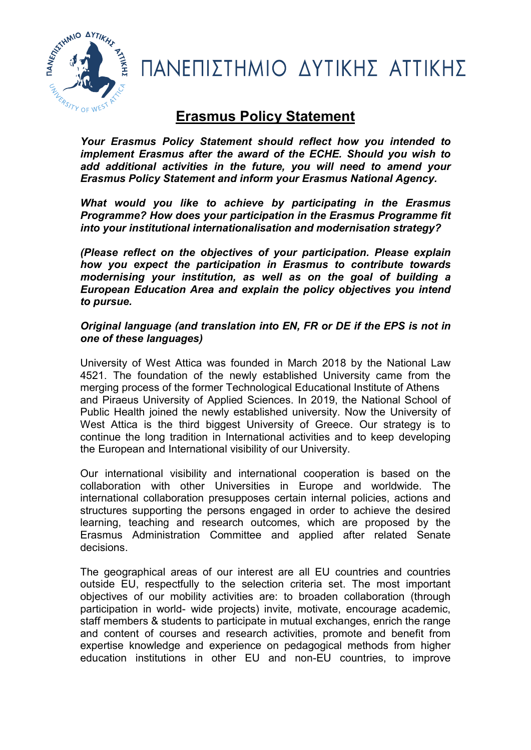

ΠΑΝΕΠΙΣΤΗΜΙΟ ΔΥΤΙΚΗΣ ΑΤΤΙΚΗΣ

# Erasmus Policy Statement

Your Erasmus Policy Statement should reflect how you intended to implement Erasmus after the award of the ECHE. Should you wish to add additional activities in the future, you will need to amend your Erasmus Policy Statement and inform your Erasmus National Agency.

What would you like to achieve by participating in the Erasmus Programme? How does your participation in the Erasmus Programme fit into your institutional internationalisation and modernisation strategy?

(Please reflect on the objectives of your participation. Please explain how you expect the participation in Erasmus to contribute towards modernising your institution, as well as on the goal of building a European Education Area and explain the policy objectives you intend to pursue.

## Original language (and translation into EN, FR or DE if the EPS is not in one of these languages)

University of West Attica was founded in March 2018 by the National Law 4521. The foundation of the newly established University came from the merging process of the former Technological Educational Institute of Athens and Piraeus University of Applied Sciences. In 2019, the National School of Public Health joined the newly established university. Now the University of West Attica is the third biggest University of Greece. Our strategy is to continue the long tradition in International activities and to keep developing the European and International visibility of our University.

Our international visibility and international cooperation is based on the collaboration with other Universities in Europe and worldwide. The international collaboration presupposes certain internal policies, actions and structures supporting the persons engaged in order to achieve the desired learning, teaching and research outcomes, which are proposed by the Erasmus Administration Committee and applied after related Senate decisions.

The geographical areas of our interest are all EU countries and countries outside EU, respectfully to the selection criteria set. The most important objectives of our mobility activities are: to broaden collaboration (through participation in world- wide projects) invite, motivate, encourage academic, staff members & students to participate in mutual exchanges, enrich the range and content of courses and research activities, promote and benefit from expertise knowledge and experience on pedagogical methods from higher education institutions in other EU and non-EU countries, to improve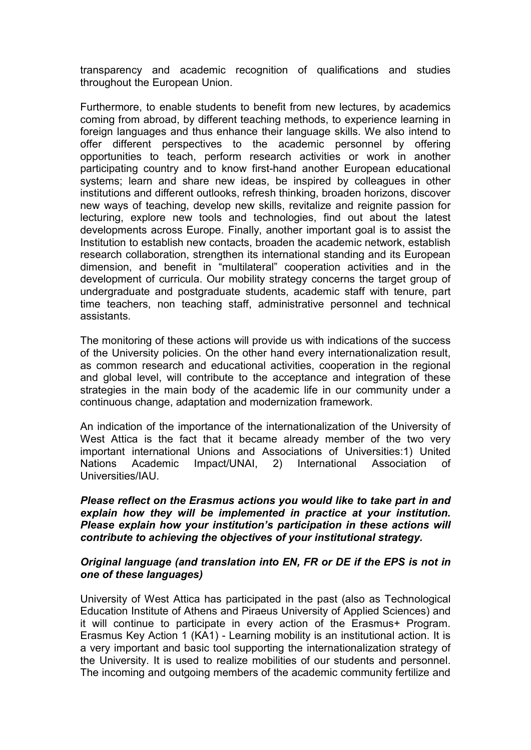transparency and academic recognition of qualifications and studies throughout the European Union.

Furthermore, to enable students to benefit from new lectures, by academics coming from abroad, by different teaching methods, to experience learning in foreign languages and thus enhance their language skills. We also intend to offer different perspectives to the academic personnel by offering opportunities to teach, perform research activities or work in another participating country and to know first-hand another European educational systems; learn and share new ideas, be inspired by colleagues in other institutions and different outlooks, refresh thinking, broaden horizons, discover new ways of teaching, develop new skills, revitalize and reignite passion for lecturing, explore new tools and technologies, find out about the latest developments across Europe. Finally, another important goal is to assist the Institution to establish new contacts, broaden the academic network, establish research collaboration, strengthen its international standing and its European dimension, and benefit in "multilateral" cooperation activities and in the development of curricula. Our mobility strategy concerns the target group of undergraduate and postgraduate students, academic staff with tenure, part time teachers, non teaching staff, administrative personnel and technical assistants.

The monitoring of these actions will provide us with indications of the success of the University policies. On the other hand every internationalization result, as common research and educational activities, cooperation in the regional and global level, will contribute to the acceptance and integration of these strategies in the main body of the academic life in our community under a continuous change, adaptation and modernization framework.

An indication of the importance of the internationalization of the University of West Attica is the fact that it became already member of the two very important international Unions and Associations of Universities:1) United Nations Academic Impact/UNAI, 2) International Association of Universities/IAU.

Please reflect on the Erasmus actions you would like to take part in and explain how they will be implemented in practice at your institution. Please explain how your institution's participation in these actions will contribute to achieving the objectives of your institutional strategy.

### Original language (and translation into EN, FR or DE if the EPS is not in one of these languages)

University of West Attica has participated in the past (also as Technological Education Institute of Athens and Piraeus University of Applied Sciences) and it will continue to participate in every action of the Erasmus+ Program. Erasmus Key Action 1 (KA1) - Learning mobility is an institutional action. It is a very important and basic tool supporting the internationalization strategy of the University. It is used to realize mobilities of our students and personnel. The incoming and outgoing members of the academic community fertilize and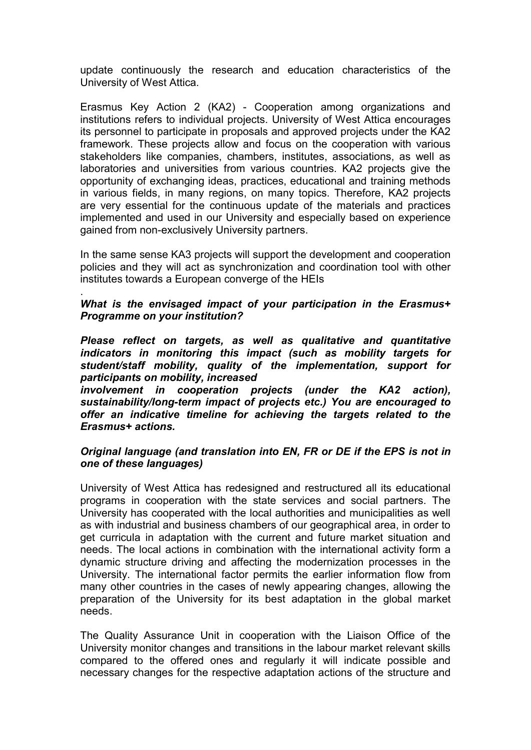update continuously the research and education characteristics of the University of West Attica.

Erasmus Key Action 2 (KA2) - Cooperation among organizations and institutions refers to individual projects. University of West Attica encourages its personnel to participate in proposals and approved projects under the KA2 framework. These projects allow and focus on the cooperation with various stakeholders like companies, chambers, institutes, associations, as well as laboratories and universities from various countries. KA2 projects give the opportunity of exchanging ideas, practices, educational and training methods in various fields, in many regions, on many topics. Therefore, KA2 projects are very essential for the continuous update of the materials and practices implemented and used in our University and especially based on experience gained from non-exclusively University partners.

In the same sense KA3 projects will support the development and cooperation policies and they will act as synchronization and coordination tool with other institutes towards a European converge of the HEIs

#### What is the envisaged impact of your participation in the Erasmus+ Programme on your institution?

.

Please reflect on targets, as well as qualitative and quantitative indicators in monitoring this impact (such as mobility targets for student/staff mobility, quality of the implementation, support for participants on mobility, increased

involvement in cooperation projects (under the KA2 action), sustainability/long-term impact of projects etc.) You are encouraged to offer an indicative timeline for achieving the targets related to the Erasmus+ actions.

### Original language (and translation into EN, FR or DE if the EPS is not in one of these languages)

University of West Attica has redesigned and restructured all its educational programs in cooperation with the state services and social partners. The University has cooperated with the local authorities and municipalities as well as with industrial and business chambers of our geographical area, in order to get curricula in adaptation with the current and future market situation and needs. The local actions in combination with the international activity form a dynamic structure driving and affecting the modernization processes in the University. The international factor permits the earlier information flow from many other countries in the cases of newly appearing changes, allowing the preparation of the University for its best adaptation in the global market needs.

The Quality Assurance Unit in cooperation with the Liaison Office of the University monitor changes and transitions in the labour market relevant skills compared to the offered ones and regularly it will indicate possible and necessary changes for the respective adaptation actions of the structure and